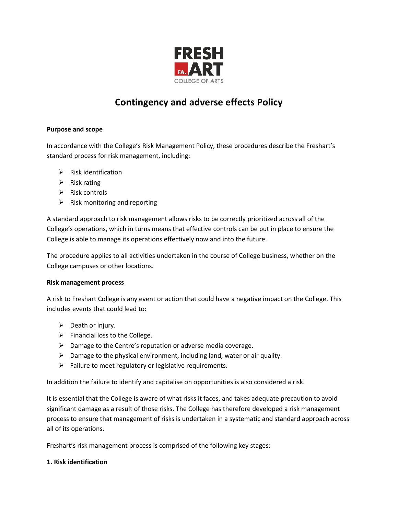

# **Contingency and adverse effects Policy**

## **Purpose and scope**

In accordance with the College's Risk Management Policy, these procedures describe the Freshart's standard process for risk management, including:

- $\triangleright$  Risk identification
- $\triangleright$  Risk rating
- $\triangleright$  Risk controls
- $\triangleright$  Risk monitoring and reporting

A standard approach to risk management allows risks to be correctly prioritized across all of the College's operations, which in turns means that effective controls can be put in place to ensure the College is able to manage its operations effectively now and into the future.

The procedure applies to all activities undertaken in the course of College business, whether on the College campuses or other locations.

## **Risk management process**

A risk to Freshart College is any event or action that could have a negative impact on the College. This includes events that could lead to:

- $\triangleright$  Death or injury.
- $\triangleright$  Financial loss to the College.
- $\triangleright$  Damage to the Centre's reputation or adverse media coverage.
- $\triangleright$  Damage to the physical environment, including land, water or air quality.
- $\triangleright$  Failure to meet regulatory or legislative requirements.

In addition the failure to identify and capitalise on opportunities is also considered a risk.

It is essential that the College is aware of what risks it faces, and takes adequate precaution to avoid significant damage as a result of those risks. The College has therefore developed a risk management process to ensure that management of risks is undertaken in a systematic and standard approach across all of its operations.

Freshart's risk management process is comprised of the following key stages:

## **1. Risk identification**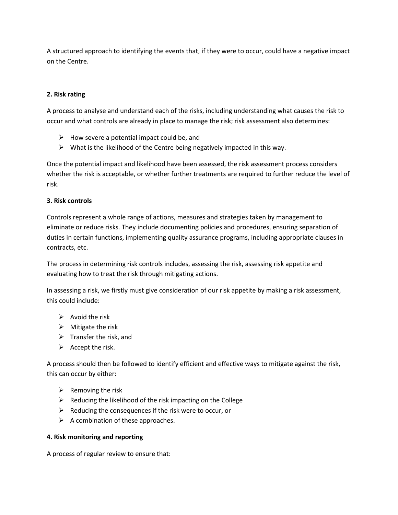A structured approach to identifying the events that, if they were to occur, could have a negative impact on the Centre.

## **2. Risk rating**

A process to analyse and understand each of the risks, including understanding what causes the risk to occur and what controls are already in place to manage the risk; risk assessment also determines:

- $\triangleright$  How severe a potential impact could be, and
- $\triangleright$  What is the likelihood of the Centre being negatively impacted in this way.

Once the potential impact and likelihood have been assessed, the risk assessment process considers whether the risk is acceptable, or whether further treatments are required to further reduce the level of risk.

## **3. Risk controls**

Controls represent a whole range of actions, measures and strategies taken by management to eliminate or reduce risks. They include documenting policies and procedures, ensuring separation of duties in certain functions, implementing quality assurance programs, including appropriate clauses in contracts, etc.

The process in determining risk controls includes, assessing the risk, assessing risk appetite and evaluating how to treat the risk through mitigating actions.

In assessing a risk, we firstly must give consideration of our risk appetite by making a risk assessment, this could include:

- $\triangleright$  Avoid the risk
- $\triangleright$  Mitigate the risk
- $\triangleright$  Transfer the risk, and
- $\triangleright$  Accept the risk.

A process should then be followed to identify efficient and effective ways to mitigate against the risk, this can occur by either:

- $\triangleright$  Removing the risk
- $\triangleright$  Reducing the likelihood of the risk impacting on the College
- $\triangleright$  Reducing the consequences if the risk were to occur, or
- $\triangleright$  A combination of these approaches.

# **4. Risk monitoring and reporting**

A process of regular review to ensure that: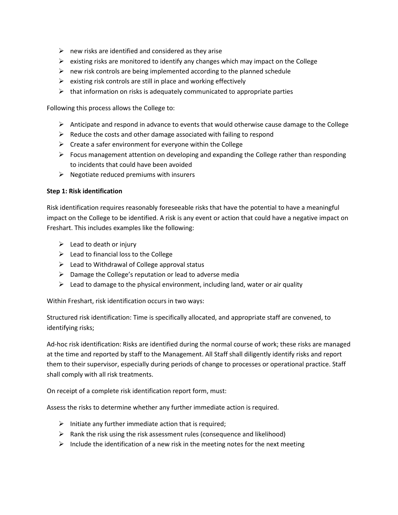- $\triangleright$  new risks are identified and considered as they arise
- $\triangleright$  existing risks are monitored to identify any changes which may impact on the College
- $\triangleright$  new risk controls are being implemented according to the planned schedule
- $\triangleright$  existing risk controls are still in place and working effectively
- $\triangleright$  that information on risks is adequately communicated to appropriate parties

Following this process allows the College to:

- $\triangleright$  Anticipate and respond in advance to events that would otherwise cause damage to the College
- $\triangleright$  Reduce the costs and other damage associated with failing to respond
- $\triangleright$  Create a safer environment for everyone within the College
- $\triangleright$  Focus management attention on developing and expanding the College rather than responding to incidents that could have been avoided
- $\triangleright$  Negotiate reduced premiums with insurers

## **Step 1: Risk identification**

Risk identification requires reasonably foreseeable risks that have the potential to have a meaningful impact on the College to be identified. A risk is any event or action that could have a negative impact on Freshart. This includes examples like the following:

- $\triangleright$  Lead to death or injury
- $\triangleright$  Lead to financial loss to the College
- $\triangleright$  Lead to Withdrawal of College approval status
- $\triangleright$  Damage the College's reputation or lead to adverse media
- $\triangleright$  Lead to damage to the physical environment, including land, water or air quality

Within Freshart, risk identification occurs in two ways:

Structured risk identification: Time is specifically allocated, and appropriate staff are convened, to identifying risks;

Ad-hoc risk identification: Risks are identified during the normal course of work; these risks are managed at the time and reported by staff to the Management. All Staff shall diligently identify risks and report them to their supervisor, especially during periods of change to processes or operational practice. Staff shall comply with all risk treatments.

On receipt of a complete risk identification report form, must:

Assess the risks to determine whether any further immediate action is required.

- $\triangleright$  Initiate any further immediate action that is required;
- $\triangleright$  Rank the risk using the risk assessment rules (consequence and likelihood)
- $\triangleright$  Include the identification of a new risk in the meeting notes for the next meeting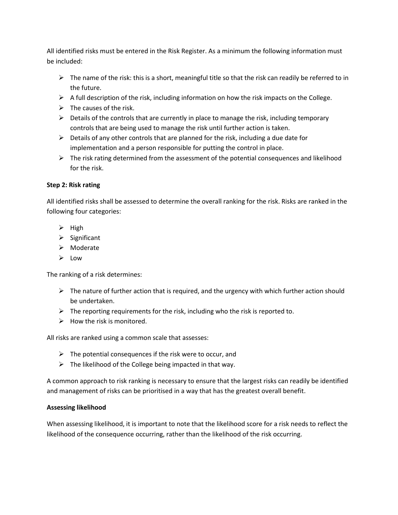All identified risks must be entered in the Risk Register. As a minimum the following information must be included:

- $\triangleright$  The name of the risk: this is a short, meaningful title so that the risk can readily be referred to in the future.
- $\triangleright$  A full description of the risk, including information on how the risk impacts on the College.
- $\triangleright$  The causes of the risk.
- $\triangleright$  Details of the controls that are currently in place to manage the risk, including temporary controls that are being used to manage the risk until further action is taken.
- $\triangleright$  Details of any other controls that are planned for the risk, including a due date for implementation and a person responsible for putting the control in place.
- $\triangleright$  The risk rating determined from the assessment of the potential consequences and likelihood for the risk.

# **Step 2: Risk rating**

All identified risks shall be assessed to determine the overall ranking for the risk. Risks are ranked in the following four categories:

- $\triangleright$  High
- $\triangleright$  Significant
- Moderate
- $\geq$  Low

The ranking of a risk determines:

- $\triangleright$  The nature of further action that is required, and the urgency with which further action should be undertaken.
- $\triangleright$  The reporting requirements for the risk, including who the risk is reported to.
- $\triangleright$  How the risk is monitored.

All risks are ranked using a common scale that assesses:

- $\triangleright$  The potential consequences if the risk were to occur, and
- $\triangleright$  The likelihood of the College being impacted in that way.

A common approach to risk ranking is necessary to ensure that the largest risks can readily be identified and management of risks can be prioritised in a way that has the greatest overall benefit.

# **Assessing likelihood**

When assessing likelihood, it is important to note that the likelihood score for a risk needs to reflect the likelihood of the consequence occurring, rather than the likelihood of the risk occurring.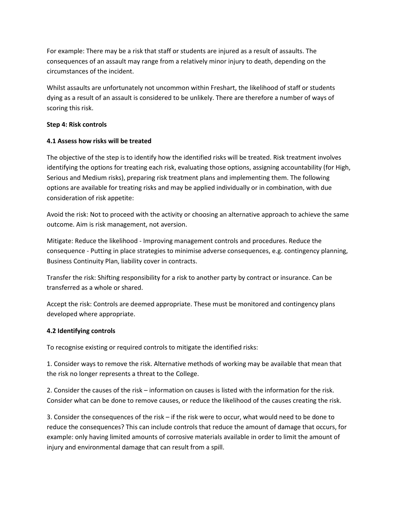For example: There may be a risk that staff or students are injured as a result of assaults. The consequences of an assault may range from a relatively minor injury to death, depending on the circumstances of the incident.

Whilst assaults are unfortunately not uncommon within Freshart, the likelihood of staff or students dying as a result of an assault is considered to be unlikely. There are therefore a number of ways of scoring this risk.

## **Step 4: Risk controls**

# **4.1 Assess how risks will be treated**

The objective of the step is to identify how the identified risks will be treated. Risk treatment involves identifying the options for treating each risk, evaluating those options, assigning accountability (for High, Serious and Medium risks), preparing risk treatment plans and implementing them. The following options are available for treating risks and may be applied individually or in combination, with due consideration of risk appetite:

Avoid the risk: Not to proceed with the activity or choosing an alternative approach to achieve the same outcome. Aim is risk management, not aversion.

Mitigate: Reduce the likelihood - Improving management controls and procedures. Reduce the consequence - Putting in place strategies to minimise adverse consequences, e.g. contingency planning, Business Continuity Plan, liability cover in contracts.

Transfer the risk: Shifting responsibility for a risk to another party by contract or insurance. Can be transferred as a whole or shared.

Accept the risk: Controls are deemed appropriate. These must be monitored and contingency plans developed where appropriate.

## **4.2 Identifying controls**

To recognise existing or required controls to mitigate the identified risks:

1. Consider ways to remove the risk. Alternative methods of working may be available that mean that the risk no longer represents a threat to the College.

2. Consider the causes of the risk – information on causes is listed with the information for the risk. Consider what can be done to remove causes, or reduce the likelihood of the causes creating the risk.

3. Consider the consequences of the risk – if the risk were to occur, what would need to be done to reduce the consequences? This can include controls that reduce the amount of damage that occurs, for example: only having limited amounts of corrosive materials available in order to limit the amount of injury and environmental damage that can result from a spill.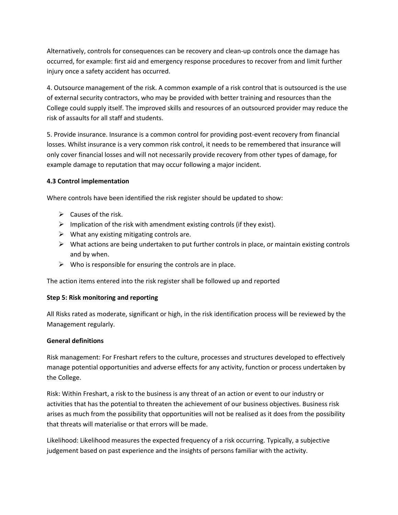Alternatively, controls for consequences can be recovery and clean-up controls once the damage has occurred, for example: first aid and emergency response procedures to recover from and limit further injury once a safety accident has occurred.

4. Outsource management of the risk. A common example of a risk control that is outsourced is the use of external security contractors, who may be provided with better training and resources than the College could supply itself. The improved skills and resources of an outsourced provider may reduce the risk of assaults for all staff and students.

5. Provide insurance. Insurance is a common control for providing post-event recovery from financial losses. Whilst insurance is a very common risk control, it needs to be remembered that insurance will only cover financial losses and will not necessarily provide recovery from other types of damage, for example damage to reputation that may occur following a major incident.

## **4.3 Control implementation**

Where controls have been identified the risk register should be updated to show:

- $\triangleright$  Causes of the risk.
- $\triangleright$  Implication of the risk with amendment existing controls (if they exist).
- $\triangleright$  What any existing mitigating controls are.
- $\triangleright$  What actions are being undertaken to put further controls in place, or maintain existing controls and by when.
- $\triangleright$  Who is responsible for ensuring the controls are in place.

The action items entered into the risk register shall be followed up and reported

## **Step 5: Risk monitoring and reporting**

All Risks rated as moderate, significant or high, in the risk identification process will be reviewed by the Management regularly.

## **General definitions**

Risk management: For Freshart refers to the culture, processes and structures developed to effectively manage potential opportunities and adverse effects for any activity, function or process undertaken by the College.

Risk: Within Freshart, a risk to the business is any threat of an action or event to our industry or activities that has the potential to threaten the achievement of our business objectives. Business risk arises as much from the possibility that opportunities will not be realised as it does from the possibility that threats will materialise or that errors will be made.

Likelihood: Likelihood measures the expected frequency of a risk occurring. Typically, a subjective judgement based on past experience and the insights of persons familiar with the activity.